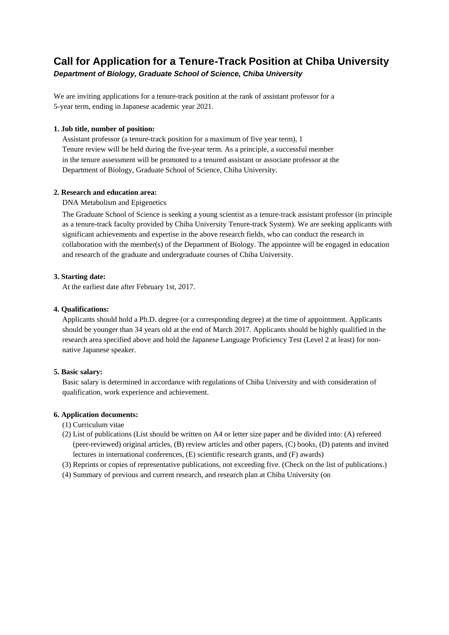# **Call for Application for a Tenure-Track Position at Chiba University**

*Department of Biology, Graduate School of Science, Chiba University*

We are inviting applications for a tenure-track position at the rank of assistant professor for a 5-year term, ending in Japanese academic year 2021.

# **1. Job title, number of position:**

Assistant professor (a tenure-track position for a maximum of five year term), 1 Tenure review will be held during the five-year term. As a principle, a successful member in the tenure assessment will be promoted to a tenured assistant or associate professor at the Department of Biology, Graduate School of Science, Chiba University.

# **2. Research and education area:**

DNA Metabolism and Epigenetics

The Graduate School of Science is seeking a young scientist as a tenure-track assistant professor (in principle as a tenure-track faculty provided by Chiba University Tenure-track System). We are seeking applicants with significant achievements and expertise in the above research fields, who can conduct the research in collaboration with the member(s) of the Department of Biology. The appointee will be engaged in education and research of the graduate and undergraduate courses of Chiba University.

# **3. Starting date:**

At the earliest date after February 1st, 2017.

# **4. Qualifications:**

Applicants should hold a Ph.D. degree (or a corresponding degree) at the time of appointment. Applicants should be younger than 34 years old at the end of March 2017. Applicants should be highly qualified in the research area specified above and hold the Japanese Language Proficiency Test (Level 2 at least) for nonnative Japanese speaker.

## **5. Basic salary:**

Basic salary is determined in accordance with regulations of Chiba University and with consideration of qualification, work experience and achievement.

## **6. Application documents:**

- (1) Curriculum vitae
- (2) List of publications (List should be written on A4 or letter size paper and be divided into: (A) refereed (peer-reviewed) original articles, (B) review articles and other papers, (C) books, (D) patents and invited lectures in international conferences, (E) scientific research grants, and (F) awards)
- (3) Reprints or copies of representative publications, not exceeding five. (Check on the list of publications.)
- (4) Summary of previous and current research, and research plan at Chiba University (on